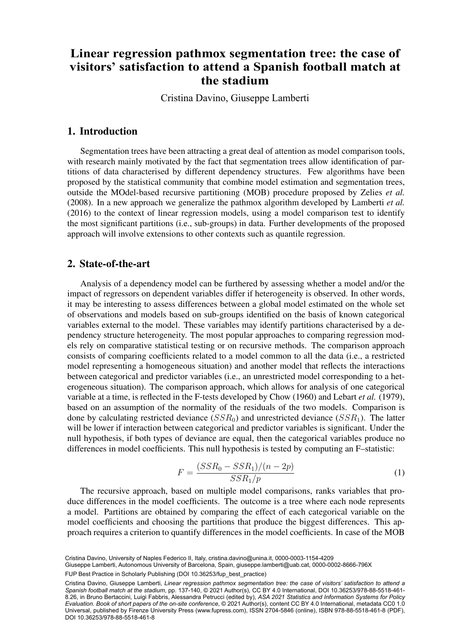# $\mathbf{S}$ stadium visitors' satisfaction to attend a **Spanish football match at the stadium Linear regression pathmox segmentation tree: the case of**

 $\mathcal{O}^{\text{tr}}(\mathcal{D})$  by  $\mathcal{O}^{\text{tr}}(\mathcal{D})$  and  $\mathcal{O}^{\text{tr}}(\mathcal{D})$ Cristina Davino, Giuseppe Lamberti

#### 1. Introduction

Segmentation trees have been attracting a great deal of attention as model comparison tools, with research mainly motivated by the fact that segmentation trees allow identification of partitions of data characterised by different dependency structures. Few algorithms have been proposed by the statistical community that combine model estimation and segmentation trees, outside the MOdel-based recursive partitioning (MOB) procedure proposed by Zelies *et al.* (2008). In a new approach we generalize the pathmox algorithm developed by Lamberti *et al.* (2016) to the context of linear regression models, using a model comparison test to identify the most significant partitions (i.e., sub-groups) in data. Further developments of the proposed approach will involve extensions to other contexts such as quantile regression.

#### 2. State-of-the-art

Analysis of a dependency model can be furthered by assessing whether a model and/or the impact of regressors on dependent variables differ if heterogeneity is observed. In other words, it may be interesting to assess differences between a global model estimated on the whole set of observations and models based on sub-groups identified on the basis of known categorical variables external to the model. These variables may identify partitions characterised by a dependency structure heterogeneity. The most popular approaches to comparing regression models rely on comparative statistical testing or on recursive methods. The comparison approach consists of comparing coefficients related to a model common to all the data (i.e., a restricted model representing a homogeneous situation) and another model that reflects the interactions between categorical and predictor variables (i.e., an unrestricted model corresponding to a heterogeneous situation). The comparison approach, which allows for analysis of one categorical variable at a time, is reflected in the F-tests developed by Chow (1960) and Lebart *et al.* (1979), based on an assumption of the normality of the residuals of the two models. Comparison is done by calculating restricted deviance  $(SSR<sub>0</sub>)$  and unrestricted deviance  $(SSR<sub>1</sub>)$ . The latter will be lower if interaction between categorical and predictor variables is significant. Under the null hypothesis, if both types of deviance are equal, then the categorical variables produce no differences in model coefficients. This null hypothesis is tested by computing an F–statistic:

$$
F = \frac{(SSR_0 - SSR_1)/(n - 2p)}{SSR_1/p} \tag{1}
$$

The recursive approach, based on multiple model comparisons, ranks variables that produce differences in the model coefficients. The outcome is a tree where each node represents a model. Partitions are obtained by comparing the effect of each categorical variable on the model coefficients and choosing the partitions that produce the biggest differences. This approach requires a criterion to quantify differences in the model coefficients. In case of the MOB

Cristina Davino, University of Naples Federico II, Italy, [cristina.davino@unina.it,](mailto:cristina.davino@unina.it) [0000-0003-1154-4209](https://orcid.org/0000-0003-1154-4209)

Giuseppe Lamberti, Autonomous University of Barcelona, Spain, [giuseppe.lamberti@uab.cat](mailto:giuseppe.lamberti@uab.cat), [0000-0002-8666-796X](https://orcid.org/0000-0002-8666-796X)<br>.

Cristina Davino, Giuseppe Lamberti, *Linear regression pathmox segmentation tree: the case of visitors' satisfaction to attend a Spanish football match at the stadium*, pp. 137-140, © 2021 Author(s), [CC BY 4.0 International,](http://creativecommons.org/licenses/by/4.0/legalcode) DOI [10.36253/978-88-5518-461-](https://doi.org/10.36253/978-88-5518-461-8.26) [8.26](https://doi.org/10.36253/978-88-5518-461-8.26), in Bruno Bertaccini, Luigi Fabbris, Alessandra Petrucci (edited by), *ASA 2021 Statistics and Information Systems for Policy Evaluation. Book of short papers of the on-site conference*, © 2021 Author(s), content [CC BY 4.0 International,](http://creativecommons.org/licenses/by/4.0/legalcode) metadata [CC0 1.0](https://creativecommons.org/publicdomain/zero/1.0/legalcode) [Universal,](https://creativecommons.org/publicdomain/zero/1.0/legalcode) published by Firenze University Press [\(www.fupress.com](http://www.fupress.com)), ISSN 2704-5846 (online), ISBN 978-88-5518-461-8 (PDF), DOI [10.36253/978-88-5518-461-8](https://doi.org/10.36253/978-88-5518-461-8)

FUP Best Practice in Scholarly Publishing (DOI [10.36253/fup\\_best\\_practice](https://doi.org/10.36253/fup_best_practice))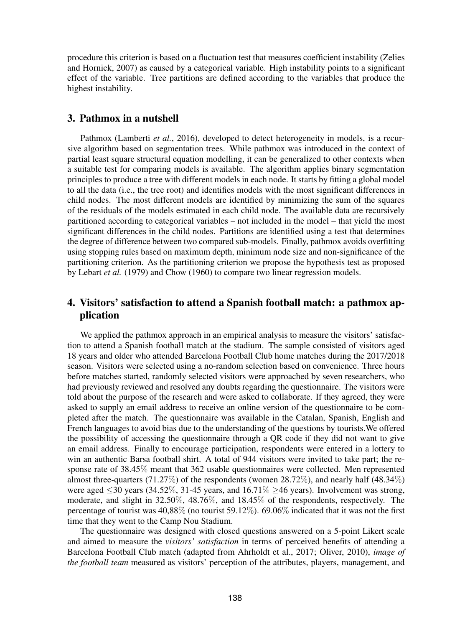procedure this criterion is based on a fluctuation test that measures coefficient instability (Zelies and Hornick, 2007) as caused by a categorical variable. High instability points to a significant effect of the variable. Tree partitions are defined according to the variables that produce the highest instability.

### 3. Pathmox in a nutshell

Pathmox (Lamberti *et al.*, 2016), developed to detect heterogeneity in models, is a recursive algorithm based on segmentation trees. While pathmox was introduced in the context of partial least square structural equation modelling, it can be generalized to other contexts when a suitable test for comparing models is available. The algorithm applies binary segmentation principles to produce a tree with different models in each node. It starts by fitting a global model to all the data (i.e., the tree root) and identifies models with the most significant differences in child nodes. The most different models are identified by minimizing the sum of the squares of the residuals of the models estimated in each child node. The available data are recursively partitioned according to categorical variables – not included in the model – that yield the most significant differences in the child nodes. Partitions are identified using a test that determines the degree of difference between two compared sub-models. Finally, pathmox avoids overfitting using stopping rules based on maximum depth, minimum node size and non-significance of the partitioning criterion. As the partitioning criterion we propose the hypothesis test as proposed by Lebart *et al.* (1979) and Chow (1960) to compare two linear regression models.

## 4. Visitors' satisfaction to attend a Spanish football match: a pathmox application

We applied the pathmox approach in an empirical analysis to measure the visitors' satisfaction to attend a Spanish football match at the stadium. The sample consisted of visitors aged 18 years and older who attended Barcelona Football Club home matches during the 2017/2018 season. Visitors were selected using a no-random selection based on convenience. Three hours before matches started, randomly selected visitors were approached by seven researchers, who had previously reviewed and resolved any doubts regarding the questionnaire. The visitors were told about the purpose of the research and were asked to collaborate. If they agreed, they were asked to supply an email address to receive an online version of the questionnaire to be completed after the match. The questionnaire was available in the Catalan, Spanish, English and French languages to avoid bias due to the understanding of the questions by tourists.We offered the possibility of accessing the questionnaire through a QR code if they did not want to give an email address. Finally to encourage participation, respondents were entered in a lottery to win an authentic Barsa football shirt. A total of 944 visitors were invited to take part; the response rate of 38.45% meant that 362 usable questionnaires were collected. Men represented almost three-quarters (71.27%) of the respondents (women 28.72%), and nearly half (48.34%) were aged  $\leq$ 30 years (34.52%, 31-45 years, and 16.71%  $\geq$ 46 years). Involvement was strong, moderate, and slight in 32.50%, 48.76%, and 18.45% of the respondents, respectively. The percentage of tourist was 40,88% (no tourist 59.12%). 69.06% indicated that it was not the first time that they went to the Camp Nou Stadium.

The questionnaire was designed with closed questions answered on a 5-point Likert scale and aimed to measure the *visitors' satisfaction* in terms of perceived benefits of attending a Barcelona Football Club match (adapted from Ahrholdt et al., 2017; Oliver, 2010), *image of the football team* measured as visitors' perception of the attributes, players, management, and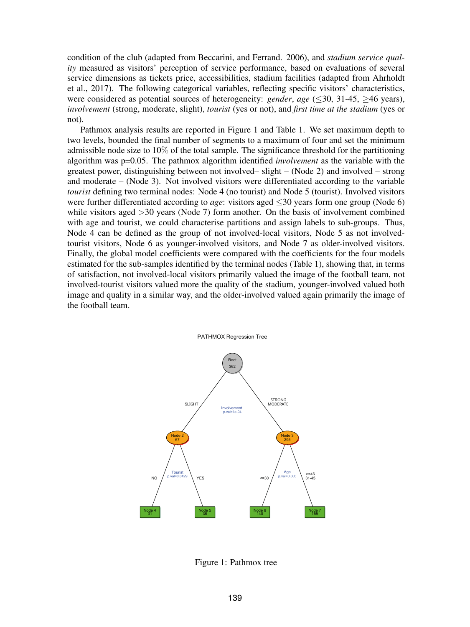condition of the club (adapted from Beccarini, and Ferrand. 2006), and *stadium service quality* measured as visitors' perception of service performance, based on evaluations of several service dimensions as tickets price, accessibilities, stadium facilities (adapted from Ahrholdt et al., 2017). The following categorical variables, reflecting specific visitors' characteristics, were considered as potential sources of heterogeneity: *gender*, *age* (≤30, 31-45, ≥46 years), *involvement* (strong, moderate, slight), *tourist* (yes or not), and *first time at the stadium* (yes or not).

Pathmox analysis results are reported in Figure 1 and Table 1. We set maximum depth to two levels, bounded the final number of segments to a maximum of four and set the minimum admissible node size to 10% of the total sample. The significance threshold for the partitioning algorithm was p=0.05. The pathmox algorithm identified *involvement* as the variable with the greatest power, distinguishing between not involved– slight – (Node 2) and involved – strong and moderate – (Node 3). Not involved visitors were differentiated according to the variable *tourist* defining two terminal nodes: Node 4 (no tourist) and Node 5 (tourist). Involved visitors were further differentiated according to *age*: visitors aged ≤30 years form one group (Node 6) while visitors aged  $>$ 30 years (Node 7) form another. On the basis of involvement combined with age and tourist, we could characterise partitions and assign labels to sub-groups. Thus, Node 4 can be defined as the group of not involved-local visitors, Node 5 as not involvedtourist visitors, Node 6 as younger-involved visitors, and Node 7 as older-involved visitors. Finally, the global model coefficients were compared with the coefficients for the four models estimated for the sub-samples identified by the terminal nodes (Table 1), showing that, in terms of satisfaction, not involved-local visitors primarily valued the image of the football team, not involved-tourist visitors valued more the quality of the stadium, younger-involved valued both image and quality in a similar way, and the older-involved valued again primarily the image of the football team.



Figure 1: Pathmox tree